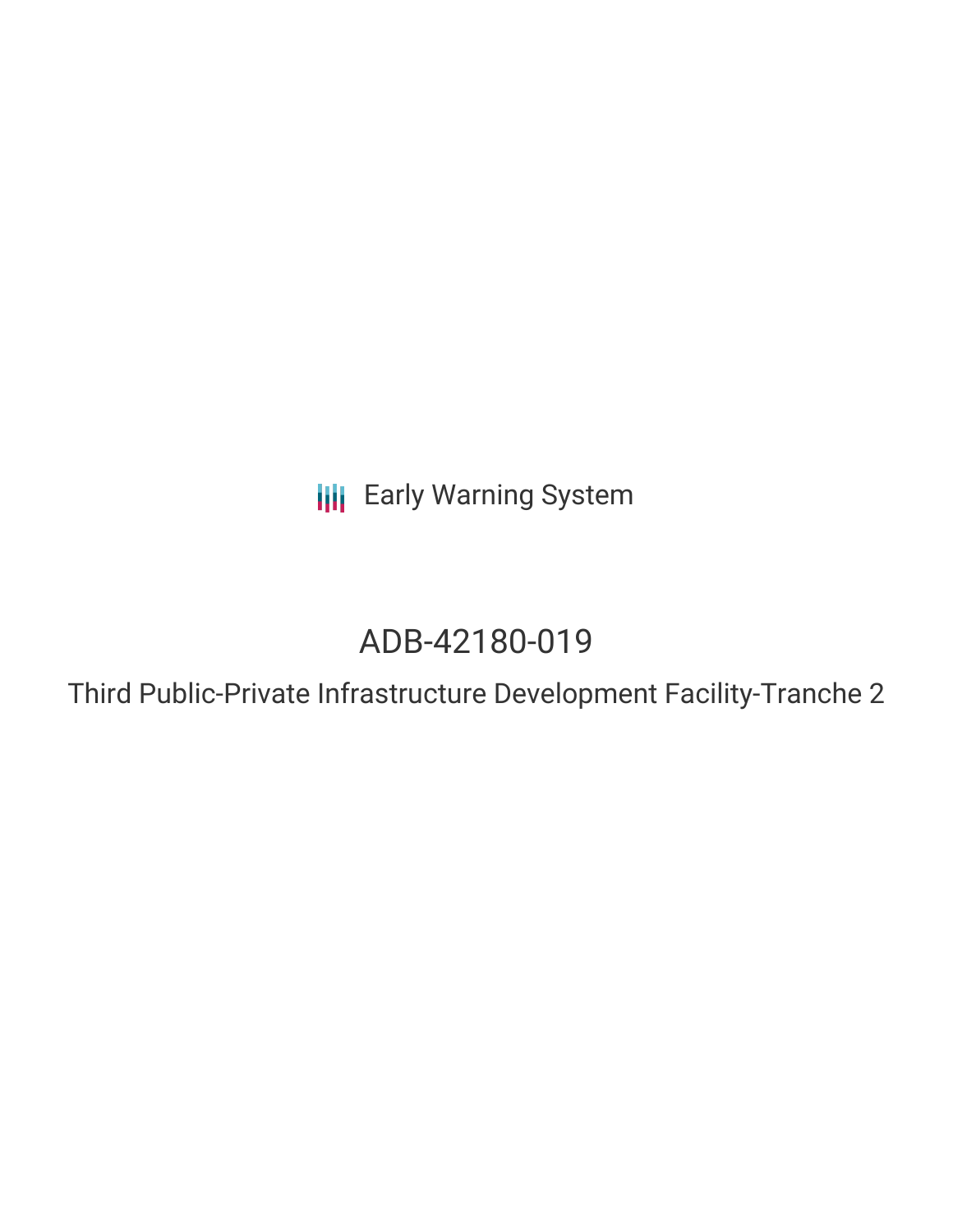**III** Early Warning System

# ADB-42180-019

Third Public-Private Infrastructure Development Facility-Tranche 2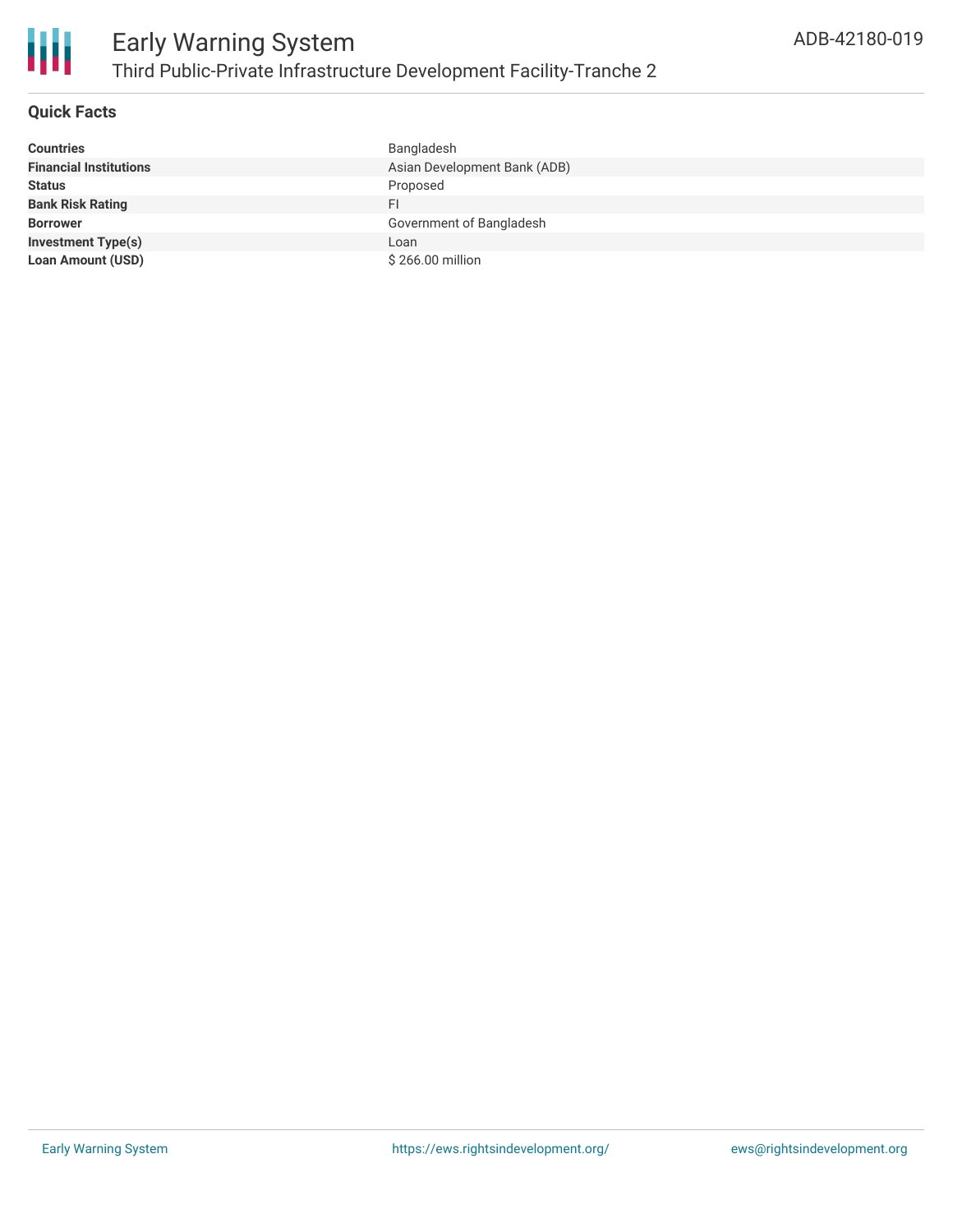

# **Quick Facts**

| <b>Countries</b>              | Bangladesh                   |
|-------------------------------|------------------------------|
| <b>Financial Institutions</b> | Asian Development Bank (ADB) |
| <b>Status</b>                 | Proposed                     |
| <b>Bank Risk Rating</b>       | FI                           |
| <b>Borrower</b>               | Government of Bangladesh     |
| <b>Investment Type(s)</b>     | Loan                         |
| <b>Loan Amount (USD)</b>      | \$266.00 million             |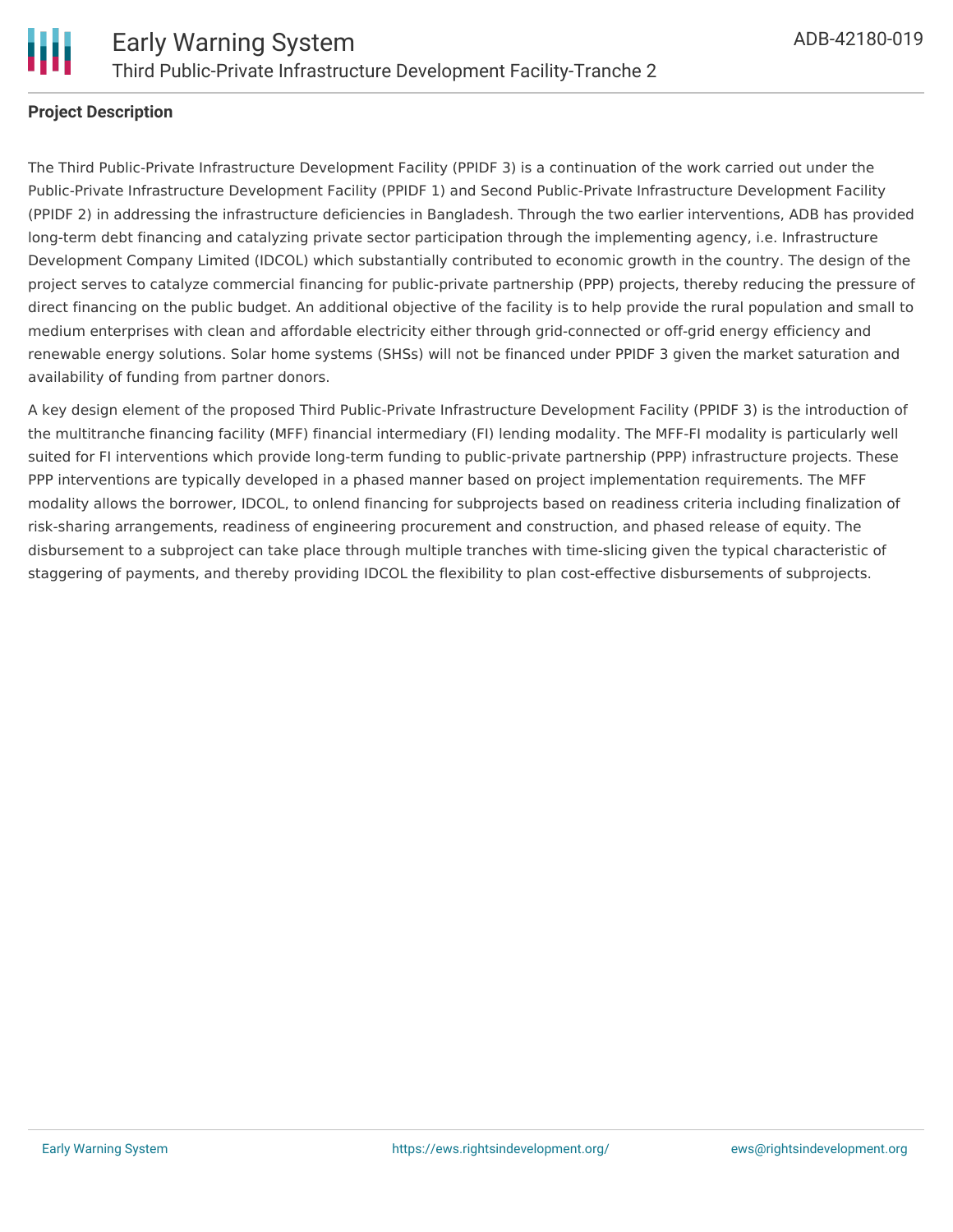

### **Project Description**

The Third Public-Private Infrastructure Development Facility (PPIDF 3) is a continuation of the work carried out under the Public-Private Infrastructure Development Facility (PPIDF 1) and Second Public-Private Infrastructure Development Facility (PPIDF 2) in addressing the infrastructure deficiencies in Bangladesh. Through the two earlier interventions, ADB has provided long-term debt financing and catalyzing private sector participation through the implementing agency, i.e. Infrastructure Development Company Limited (IDCOL) which substantially contributed to economic growth in the country. The design of the project serves to catalyze commercial financing for public-private partnership (PPP) projects, thereby reducing the pressure of direct financing on the public budget. An additional objective of the facility is to help provide the rural population and small to medium enterprises with clean and affordable electricity either through grid-connected or off-grid energy efficiency and renewable energy solutions. Solar home systems (SHSs) will not be financed under PPIDF 3 given the market saturation and availability of funding from partner donors.

A key design element of the proposed Third Public-Private Infrastructure Development Facility (PPIDF 3) is the introduction of the multitranche financing facility (MFF) financial intermediary (FI) lending modality. The MFF-FI modality is particularly well suited for FI interventions which provide long-term funding to public-private partnership (PPP) infrastructure projects. These PPP interventions are typically developed in a phased manner based on project implementation requirements. The MFF modality allows the borrower, IDCOL, to onlend financing for subprojects based on readiness criteria including finalization of risk-sharing arrangements, readiness of engineering procurement and construction, and phased release of equity. The disbursement to a subproject can take place through multiple tranches with time-slicing given the typical characteristic of staggering of payments, and thereby providing IDCOL the flexibility to plan cost-effective disbursements of subprojects.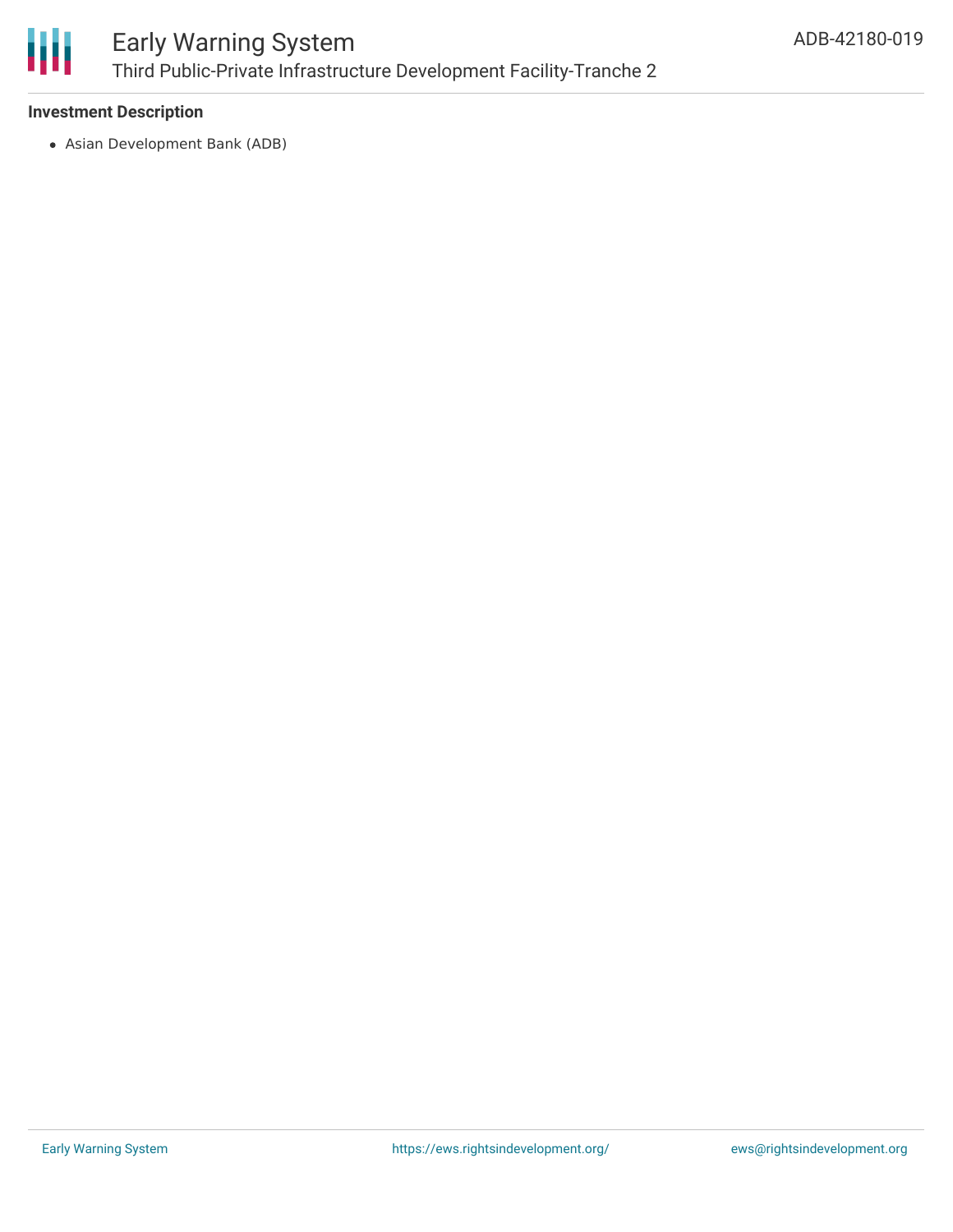

## **Investment Description**

Asian Development Bank (ADB)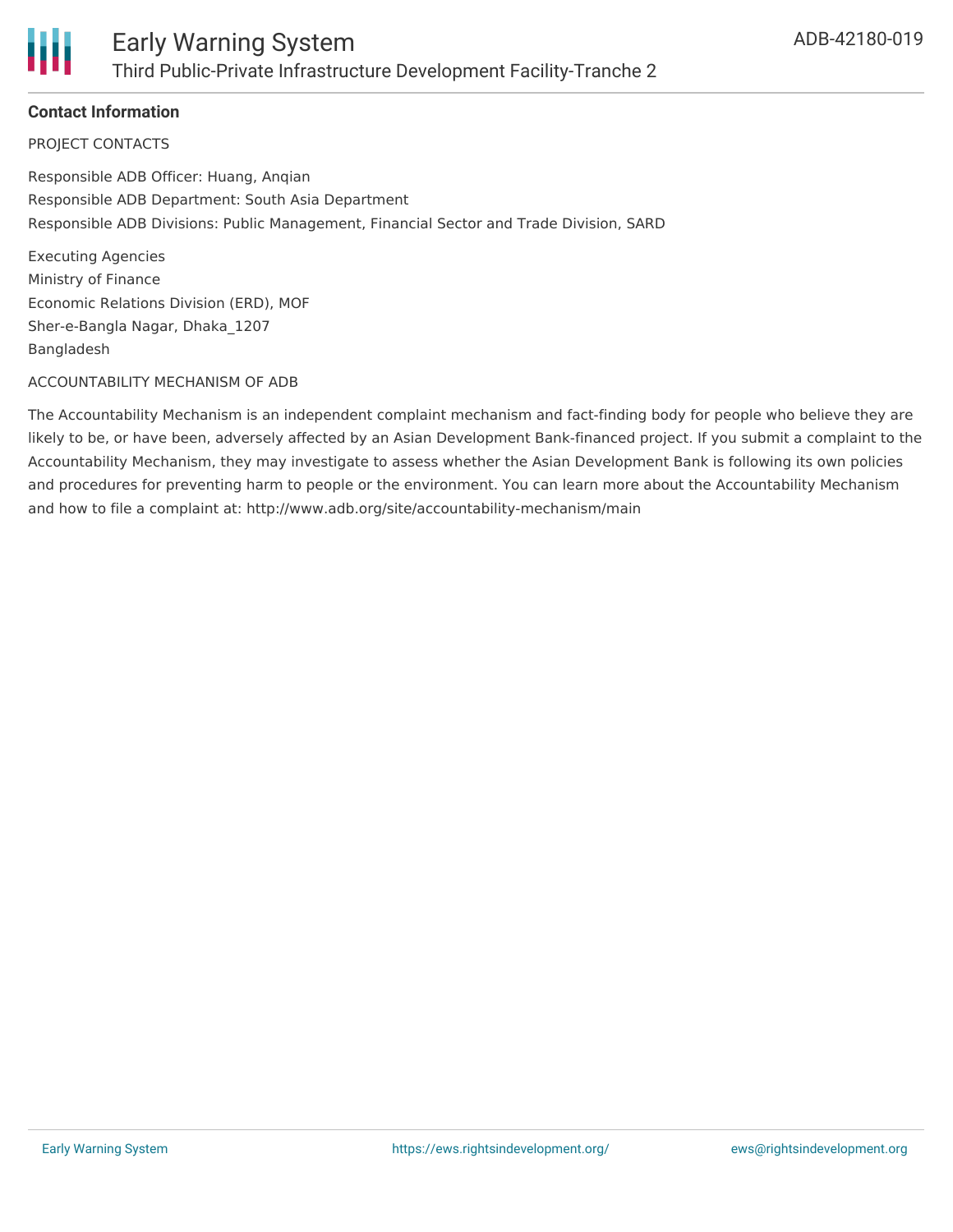

# **Contact Information**

PROJECT CONTACTS

Responsible ADB Officer: Huang, Anqian Responsible ADB Department: South Asia Department Responsible ADB Divisions: Public Management, Financial Sector and Trade Division, SARD

Executing Agencies Ministry of Finance Economic Relations Division (ERD), MOF Sher-e-Bangla Nagar, Dhaka\_1207 Bangladesh

#### ACCOUNTABILITY MECHANISM OF ADB

The Accountability Mechanism is an independent complaint mechanism and fact-finding body for people who believe they are likely to be, or have been, adversely affected by an Asian Development Bank-financed project. If you submit a complaint to the Accountability Mechanism, they may investigate to assess whether the Asian Development Bank is following its own policies and procedures for preventing harm to people or the environment. You can learn more about the Accountability Mechanism and how to file a complaint at: http://www.adb.org/site/accountability-mechanism/main